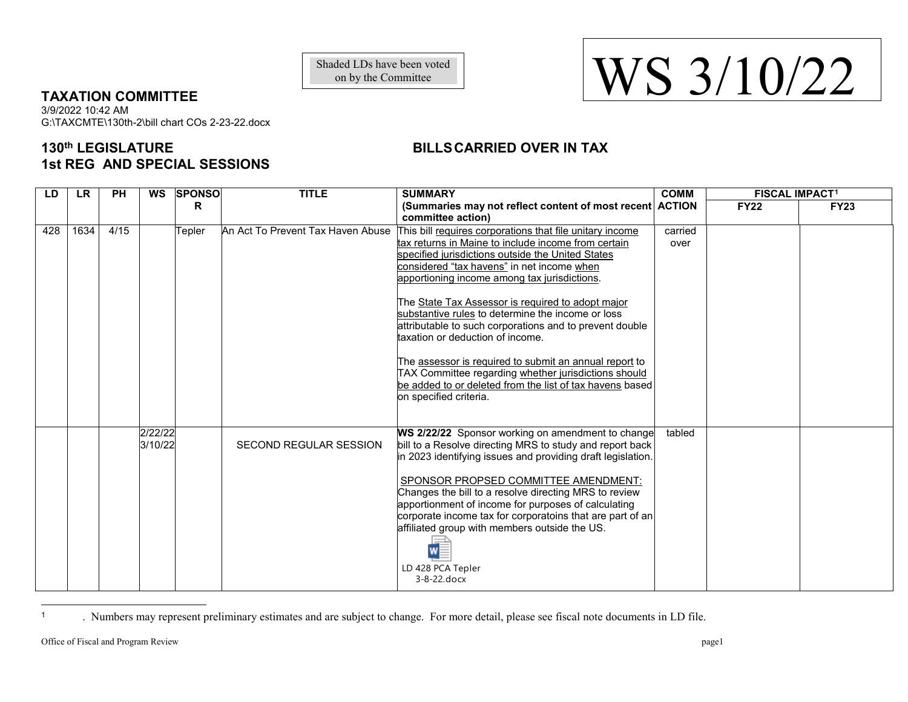on by the Committee

## **TAXATION COMMITTEE**

3/9/2022 10:42 AM G:\TAXCMTE\130th-2\bill chart COs 2-23-22.docx

## **130th LEGISLATURE BILLSCARRIED OVER IN TAX 1st REG AND SPECIAL SESSIONS**

| LD  | <b>LR</b> | <b>PH</b> | <b>WS</b>          | <b>SPONSO</b> | <b>TITLE</b>                      | <b>SUMMARY</b>                                                                                                                                                                                                                                                                                                                                                                                                                                                                                                                                                                                                                                                                      | <b>COMM</b>     | <b>FISCAL IMPACT1</b> |             |
|-----|-----------|-----------|--------------------|---------------|-----------------------------------|-------------------------------------------------------------------------------------------------------------------------------------------------------------------------------------------------------------------------------------------------------------------------------------------------------------------------------------------------------------------------------------------------------------------------------------------------------------------------------------------------------------------------------------------------------------------------------------------------------------------------------------------------------------------------------------|-----------------|-----------------------|-------------|
|     |           |           |                    | R             |                                   | (Summaries may not reflect content of most recent ACTION<br>committee action)                                                                                                                                                                                                                                                                                                                                                                                                                                                                                                                                                                                                       |                 | <b>FY22</b>           | <b>FY23</b> |
| 428 | 1634      | 4/15      |                    | Tepler        | An Act To Prevent Tax Haven Abuse | This bill requires corporations that file unitary income<br>tax returns in Maine to include income from certain<br>specified jurisdictions outside the United States<br>considered "tax havens" in net income when<br>apportioning income among tax jurisdictions.<br>The State Tax Assessor is required to adopt major<br>substantive rules to determine the income or loss<br>attributable to such corporations and to prevent double<br>taxation or deduction of income.<br>The assessor is required to submit an annual report to<br>TAX Committee regarding whether jurisdictions should<br>be added to or deleted from the list of tax havens based<br>on specified criteria. | carried<br>over |                       |             |
|     |           |           | 2/22/22<br>3/10/22 |               | SECOND REGULAR SESSION            | WS 2/22/22 Sponsor working on amendment to change<br>bill to a Resolve directing MRS to study and report back<br>in 2023 identifying issues and providing draft legislation.<br>SPONSOR PROPSED COMMITTEE AMENDMENT:<br>Changes the bill to a resolve directing MRS to review<br>apportionment of income for purposes of calculating<br>corporate income tax for corporatoins that are part of an<br>affiliated group with members outside the US.<br>LD 428 PCA Tepler<br>$3-8-22$ .docx                                                                                                                                                                                           | tabled          |                       |             |

 $\mathbf{1}$ <sup>1</sup> . Numbers may represent preliminary estimates and are subject to change. For more detail, please see fiscal note documents in LD file.

<span id="page-0-0"></span>Shaded LDs have been voted<br>
on by the Committee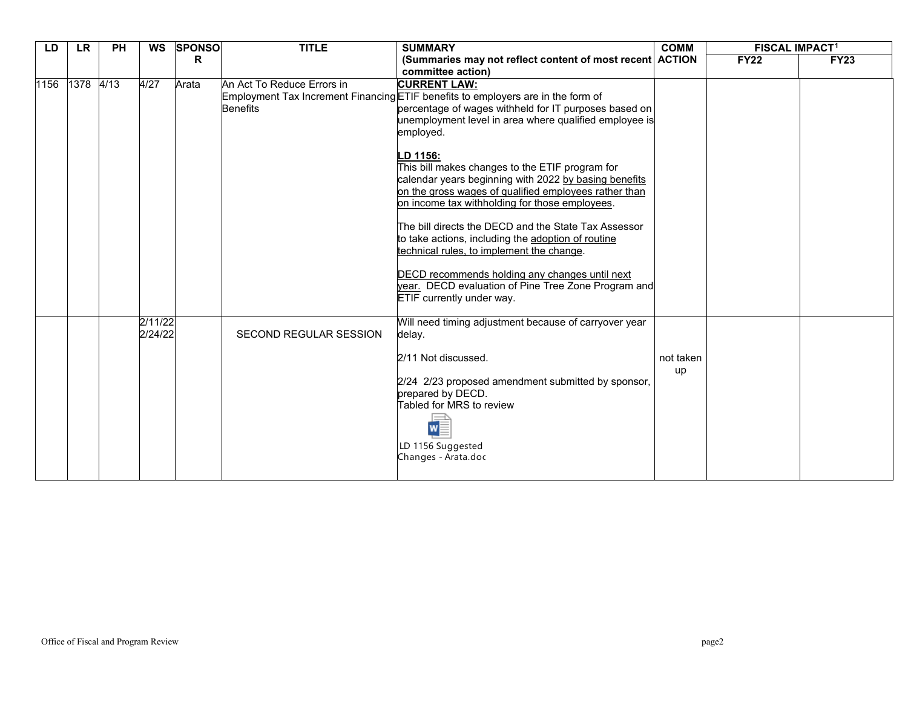| LD   | <b>LR</b> | <b>PH</b> | <b>WS</b> | <b>SPONSO</b> | <b>TITLE</b>               | <b>SUMMARY</b>                                                                   | <b>COMM</b> | <b>FISCAL IMPACT1</b> |             |
|------|-----------|-----------|-----------|---------------|----------------------------|----------------------------------------------------------------------------------|-------------|-----------------------|-------------|
|      |           |           |           | R             |                            | (Summaries may not reflect content of most recent ACTION                         |             | <b>FY22</b>           | <b>FY23</b> |
|      |           |           |           |               |                            | committee action)                                                                |             |                       |             |
| 1156 | 1378      | 4/13      | 4/27      | Arata         | An Act To Reduce Errors in | <b>CURRENT LAW:</b>                                                              |             |                       |             |
|      |           |           |           |               |                            | Employment Tax Increment Financing ETIF benefits to employers are in the form of |             |                       |             |
|      |           |           |           |               | <b>Benefits</b>            | percentage of wages withheld for IT purposes based on                            |             |                       |             |
|      |           |           |           |               |                            | unemployment level in area where qualified employee is                           |             |                       |             |
|      |           |           |           |               |                            | employed.                                                                        |             |                       |             |
|      |           |           |           |               |                            | LD 1156:                                                                         |             |                       |             |
|      |           |           |           |               |                            | This bill makes changes to the ETIF program for                                  |             |                       |             |
|      |           |           |           |               |                            | calendar years beginning with 2022 by basing benefits                            |             |                       |             |
|      |           |           |           |               |                            | on the gross wages of qualified employees rather than                            |             |                       |             |
|      |           |           |           |               |                            | on income tax withholding for those employees.                                   |             |                       |             |
|      |           |           |           |               |                            | The bill directs the DECD and the State Tax Assessor                             |             |                       |             |
|      |           |           |           |               |                            | to take actions, including the adoption of routine                               |             |                       |             |
|      |           |           |           |               |                            | technical rules, to implement the change.                                        |             |                       |             |
|      |           |           |           |               |                            |                                                                                  |             |                       |             |
|      |           |           |           |               |                            | DECD recommends holding any changes until next                                   |             |                       |             |
|      |           |           |           |               |                            | year. DECD evaluation of Pine Tree Zone Program and                              |             |                       |             |
|      |           |           |           |               |                            | ETIF currently under way.                                                        |             |                       |             |
|      |           |           | 2/11/22   |               |                            | Will need timing adjustment because of carryover year                            |             |                       |             |
|      |           |           | 2/24/22   |               | SECOND REGULAR SESSION     | delay.                                                                           |             |                       |             |
|      |           |           |           |               |                            |                                                                                  |             |                       |             |
|      |           |           |           |               |                            | 2/11 Not discussed.                                                              | not taken   |                       |             |
|      |           |           |           |               |                            |                                                                                  | up          |                       |             |
|      |           |           |           |               |                            | 2/24 2/23 proposed amendment submitted by sponsor,                               |             |                       |             |
|      |           |           |           |               |                            | prepared by DECD.                                                                |             |                       |             |
|      |           |           |           |               |                            | Tabled for MRS to review                                                         |             |                       |             |
|      |           |           |           |               |                            |                                                                                  |             |                       |             |
|      |           |           |           |               |                            |                                                                                  |             |                       |             |
|      |           |           |           |               |                            | LD 1156 Suggested<br>Changes - Arata.doc                                         |             |                       |             |
|      |           |           |           |               |                            |                                                                                  |             |                       |             |
|      |           |           |           |               |                            |                                                                                  |             |                       |             |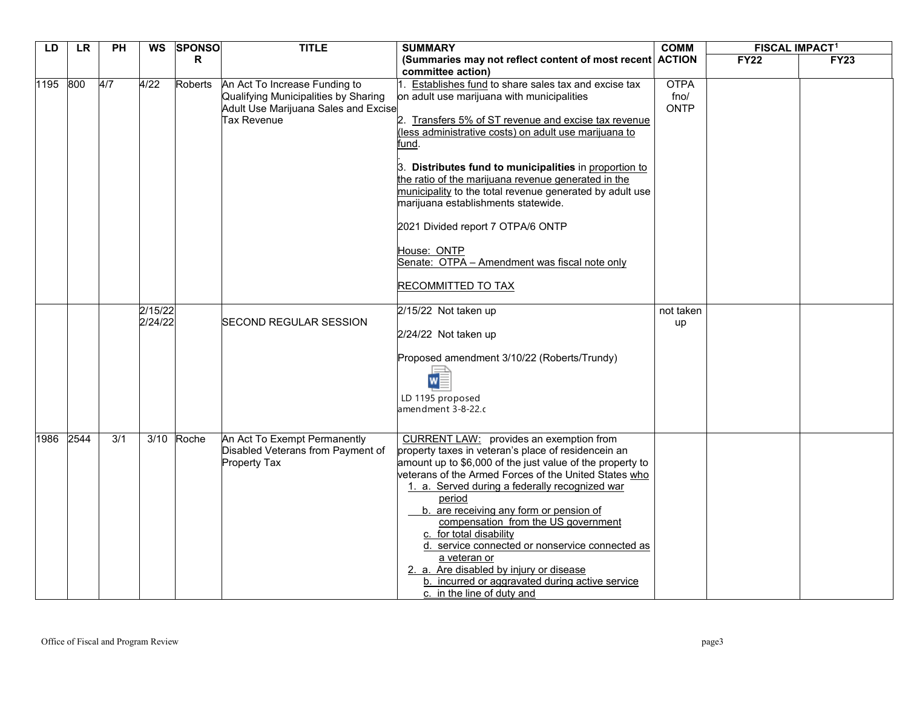| LD<br><b>LR</b> |      | <b>PH</b>        | <b>WS</b>          | <b>SPONSO</b>  | <b>TITLE</b>                                                                                                                 | <b>SUMMARY</b>                                                                                                                                                                                                                                                                                                                                                                                                                                                                                                                                                                               | <b>COMM</b>                        | <b>FISCAL IMPACT1</b> |             |
|-----------------|------|------------------|--------------------|----------------|------------------------------------------------------------------------------------------------------------------------------|----------------------------------------------------------------------------------------------------------------------------------------------------------------------------------------------------------------------------------------------------------------------------------------------------------------------------------------------------------------------------------------------------------------------------------------------------------------------------------------------------------------------------------------------------------------------------------------------|------------------------------------|-----------------------|-------------|
|                 |      |                  |                    | R.             |                                                                                                                              | (Summaries may not reflect content of most recent ACTION<br>committee action)                                                                                                                                                                                                                                                                                                                                                                                                                                                                                                                |                                    | <b>FY22</b>           | <b>FY23</b> |
| 1195            | 800  | 4/7              | 4/22               | <b>Roberts</b> | An Act To Increase Funding to<br>Qualifying Municipalities by Sharing<br>Adult Use Marijuana Sales and Excise<br>Tax Revenue | 1. Establishes fund to share sales tax and excise tax<br>on adult use marijuana with municipalities<br>2. Transfers 5% of ST revenue and excise tax revenue<br>(less administrative costs) on adult use marijuana to<br>fund.<br>3. Distributes fund to municipalities in proportion to<br>the ratio of the marijuana revenue generated in the<br>municipality to the total revenue generated by adult use<br>marijuana establishments statewide.<br>2021 Divided report 7 OTPA/6 ONTP<br>House: ONTP<br>Senate: OTPA - Amendment was fiscal note only<br>RECOMMITTED TO TAX                 | <b>OTPA</b><br>fno/<br><b>ONTP</b> |                       |             |
|                 |      |                  | 2/15/22<br>2/24/22 |                | <b>SECOND REGULAR SESSION</b>                                                                                                | 2/15/22 Not taken up<br>2/24/22 Not taken up<br>Proposed amendment 3/10/22 (Roberts/Trundy)<br>W<br>LD 1195 proposed<br>amendment 3-8-22.c                                                                                                                                                                                                                                                                                                                                                                                                                                                   | not taken<br>up                    |                       |             |
| 1986            | 2544 | $\overline{3/1}$ | 3/10               | Roche          | An Act To Exempt Permanently<br>Disabled Veterans from Payment of<br>Property Tax                                            | CURRENT LAW: provides an exemption from<br>property taxes in veteran's place of residencein an<br>amount up to \$6,000 of the just value of the property to<br>veterans of the Armed Forces of the United States who<br>1. a. Served during a federally recognized war<br>period<br>b. are receiving any form or pension of<br>compensation from the US government<br>c. for total disability<br>d. service connected or nonservice connected as<br>a veteran or<br>2. a. Are disabled by injury or disease<br>b. incurred or aggravated during active service<br>c. in the line of duty and |                                    |                       |             |